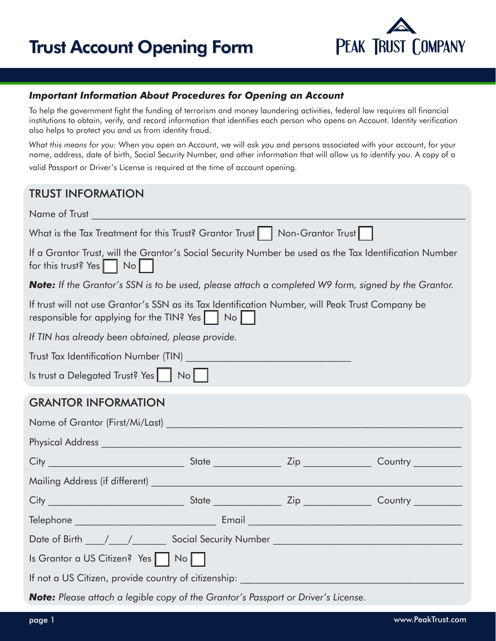# Trust Account Opening Form



#### *Important Information About Procedures for Opening an Account*

To help the government fight the funding of terrorism and money laundering activities, federal law requires all financial institutions to obtain, verify, and record information that identifies each person who opens an Account. Identity verification also helps to protect you and us from identity fraud.

*What this means for you:* When you open an Account, we will ask you and persons associated with your account, for your name, address, date of birth, Social Security Number, and other information that will allow us to identify you. A copy of a valid Passport or Driver's License is required at the time of account opening.

### TRUST INFORMATION

| Name of Trust and the contract of the contract of the contract of the contract of the contract of the contract of the contract of the contract of the contract of the contract of the contract of the contract of the contract |  |  |  |  |
|--------------------------------------------------------------------------------------------------------------------------------------------------------------------------------------------------------------------------------|--|--|--|--|
| What is the Tax Treatment for this Trust? Grantor Trust   Non-Grantor Trust                                                                                                                                                    |  |  |  |  |
| If a Grantor Trust, will the Grantor's Social Security Number be used as the Tax Identification Number<br>for this trust? Yes $\vert \vert$ No $\vert$                                                                         |  |  |  |  |
| <b>Note:</b> If the Grantor's SSN is to be used, please attach a completed W9 form, signed by the Grantor.                                                                                                                     |  |  |  |  |
| If trust will not use Grantor's SSN as its Tax Identification Number, will Peak Trust Company be<br>responsible for applying for the TIN? Yes $\vert$ $\vert$ No $\vert$ $\vert$                                               |  |  |  |  |
| If TIN has already been obtained, please provide.                                                                                                                                                                              |  |  |  |  |
|                                                                                                                                                                                                                                |  |  |  |  |
| Is trust a Delegated Trust? Yes $\begin{bmatrix}   & N_0   \end{bmatrix}$                                                                                                                                                      |  |  |  |  |
| <b>GRANTOR INFORMATION</b>                                                                                                                                                                                                     |  |  |  |  |
|                                                                                                                                                                                                                                |  |  |  |  |
|                                                                                                                                                                                                                                |  |  |  |  |
|                                                                                                                                                                                                                                |  |  |  |  |
|                                                                                                                                                                                                                                |  |  |  |  |
|                                                                                                                                                                                                                                |  |  |  |  |
|                                                                                                                                                                                                                                |  |  |  |  |
|                                                                                                                                                                                                                                |  |  |  |  |
| Is Grantor a US Citizen? Yes     No                                                                                                                                                                                            |  |  |  |  |
| If not a US Citizen, provide country of citizenship: ___________________________                                                                                                                                               |  |  |  |  |
| <b>Note:</b> Please attach a legible copy of the Grantor's Passport or Driver's License.                                                                                                                                       |  |  |  |  |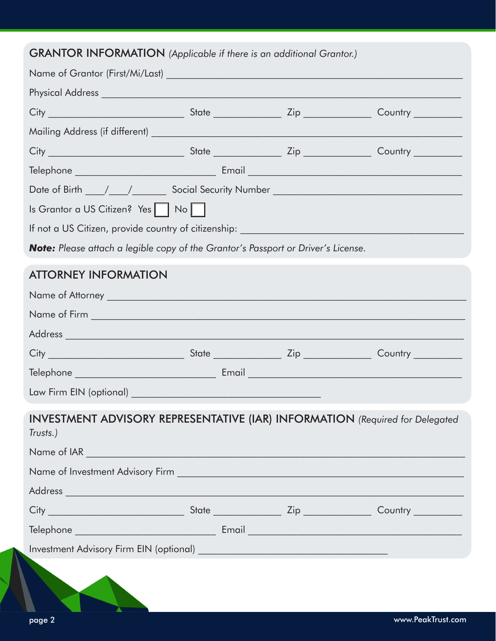## GRANTOR INFORMATION *(Applicable if there is an additional Grantor.)*

| $\alpha$ and $\alpha$ and $\alpha$ and $\alpha$ and $\alpha$ and $\alpha$ and $\alpha$ and $\alpha$ and $\alpha$ and $\alpha$ and $\alpha$ and $\alpha$ |  |  |
|---------------------------------------------------------------------------------------------------------------------------------------------------------|--|--|
|                                                                                                                                                         |  |  |
|                                                                                                                                                         |  |  |
|                                                                                                                                                         |  |  |
|                                                                                                                                                         |  |  |
|                                                                                                                                                         |  |  |
|                                                                                                                                                         |  |  |
|                                                                                                                                                         |  |  |
| Is Grantor a US Citizen? Yes   No                                                                                                                       |  |  |
|                                                                                                                                                         |  |  |
| Note: Please attach a legible copy of the Grantor's Passport or Driver's License.                                                                       |  |  |
| <b>ATTORNEY INFORMATION</b>                                                                                                                             |  |  |
|                                                                                                                                                         |  |  |
|                                                                                                                                                         |  |  |
|                                                                                                                                                         |  |  |
|                                                                                                                                                         |  |  |
|                                                                                                                                                         |  |  |
|                                                                                                                                                         |  |  |
|                                                                                                                                                         |  |  |
| <b>INVESTMENT ADVISORY REPRESENTATIVE (IAR) INFORMATION</b> (Required for Delegated<br>Trusts.)                                                         |  |  |
|                                                                                                                                                         |  |  |
|                                                                                                                                                         |  |  |
|                                                                                                                                                         |  |  |
|                                                                                                                                                         |  |  |
|                                                                                                                                                         |  |  |
|                                                                                                                                                         |  |  |
|                                                                                                                                                         |  |  |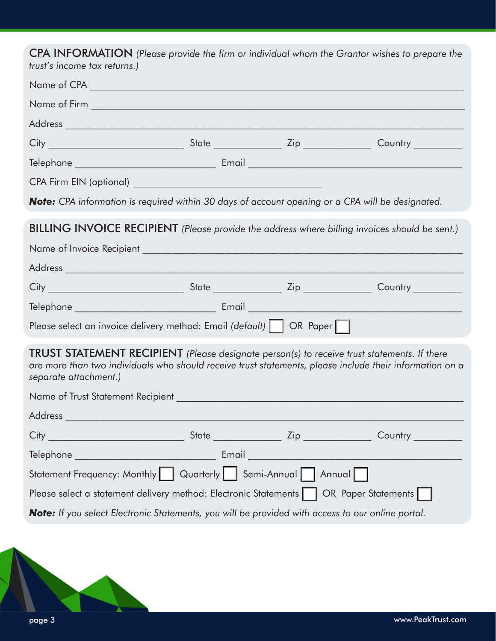CPA INFORMATION *(Please provide the firm or individual whom the Grantor wishes to prepare the trust's income tax returns.)*

| <b>Note:</b> CPA information is required within 30 days of account opening or a CPA will be designated.                                                                                                                          |  |  |                    |  |
|----------------------------------------------------------------------------------------------------------------------------------------------------------------------------------------------------------------------------------|--|--|--------------------|--|
| <b>BILLING INVOICE RECIPIENT</b> (Please provide the address where billing invoices should be sent.)                                                                                                                             |  |  |                    |  |
|                                                                                                                                                                                                                                  |  |  |                    |  |
|                                                                                                                                                                                                                                  |  |  |                    |  |
|                                                                                                                                                                                                                                  |  |  |                    |  |
|                                                                                                                                                                                                                                  |  |  |                    |  |
| Please select an invoice delivery method: Email (default)     OR Paper                                                                                                                                                           |  |  |                    |  |
| TRUST STATEMENT RECIPIENT (Please designate person(s) to receive trust statements. If there<br>are more than two individuals who should receive trust statements, please include their information on a<br>separate attachment.) |  |  |                    |  |
|                                                                                                                                                                                                                                  |  |  |                    |  |
|                                                                                                                                                                                                                                  |  |  |                    |  |
| City _                                                                                                                                                                                                                           |  |  |                    |  |
| Telephone ________________________________                                                                                                                                                                                       |  |  |                    |  |
| Statement Frequency: Monthly   Quarterly                                                                                                                                                                                         |  |  | Semi-Annual Annual |  |
| Please select a statement delivery method: Electronic Statements  <br><b>OR</b> Paper Statements                                                                                                                                 |  |  |                    |  |
| Note: If you select Electronic Statements, you will be provided with access to our online portal.                                                                                                                                |  |  |                    |  |
|                                                                                                                                                                                                                                  |  |  |                    |  |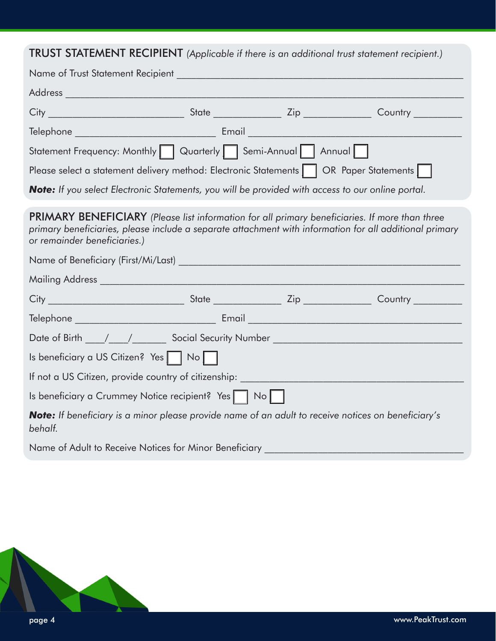# TRUST STATEMENT RECIPIENT *(Applicable if there is an additional trust statement recipient.)*

| Statement Frequency: Monthly Quarterly   Semi-Annual   Annual                                                                                                                                                                                    |  |  |  |  |
|--------------------------------------------------------------------------------------------------------------------------------------------------------------------------------------------------------------------------------------------------|--|--|--|--|
| Please select a statement delivery method: Electronic Statements     OR Paper Statements                                                                                                                                                         |  |  |  |  |
| Note: If you select Electronic Statements, you will be provided with access to our online portal.                                                                                                                                                |  |  |  |  |
| <b>PRIMARY BENEFICIARY</b> (Please list information for all primary beneficiaries. If more than three<br>primary beneficiaries, please include a separate attachment with information for all additional primary<br>or remainder beneficiaries.) |  |  |  |  |
|                                                                                                                                                                                                                                                  |  |  |  |  |
|                                                                                                                                                                                                                                                  |  |  |  |  |
|                                                                                                                                                                                                                                                  |  |  |  |  |
|                                                                                                                                                                                                                                                  |  |  |  |  |
|                                                                                                                                                                                                                                                  |  |  |  |  |
| Is beneficiary a US Citizen? Yes   No                                                                                                                                                                                                            |  |  |  |  |
| If not a US Citizen, provide country of citizenship: University of the US Citizenship:                                                                                                                                                           |  |  |  |  |
| Is beneficiary a Crummey Notice recipient? Yes   No                                                                                                                                                                                              |  |  |  |  |
| Note: If beneficiary is a minor please provide name of an adult to receive notices on beneficiary's<br>behalf.                                                                                                                                   |  |  |  |  |
| Name of Adult to Receive Notices for Minor Beneficiary                                                                                                                                                                                           |  |  |  |  |